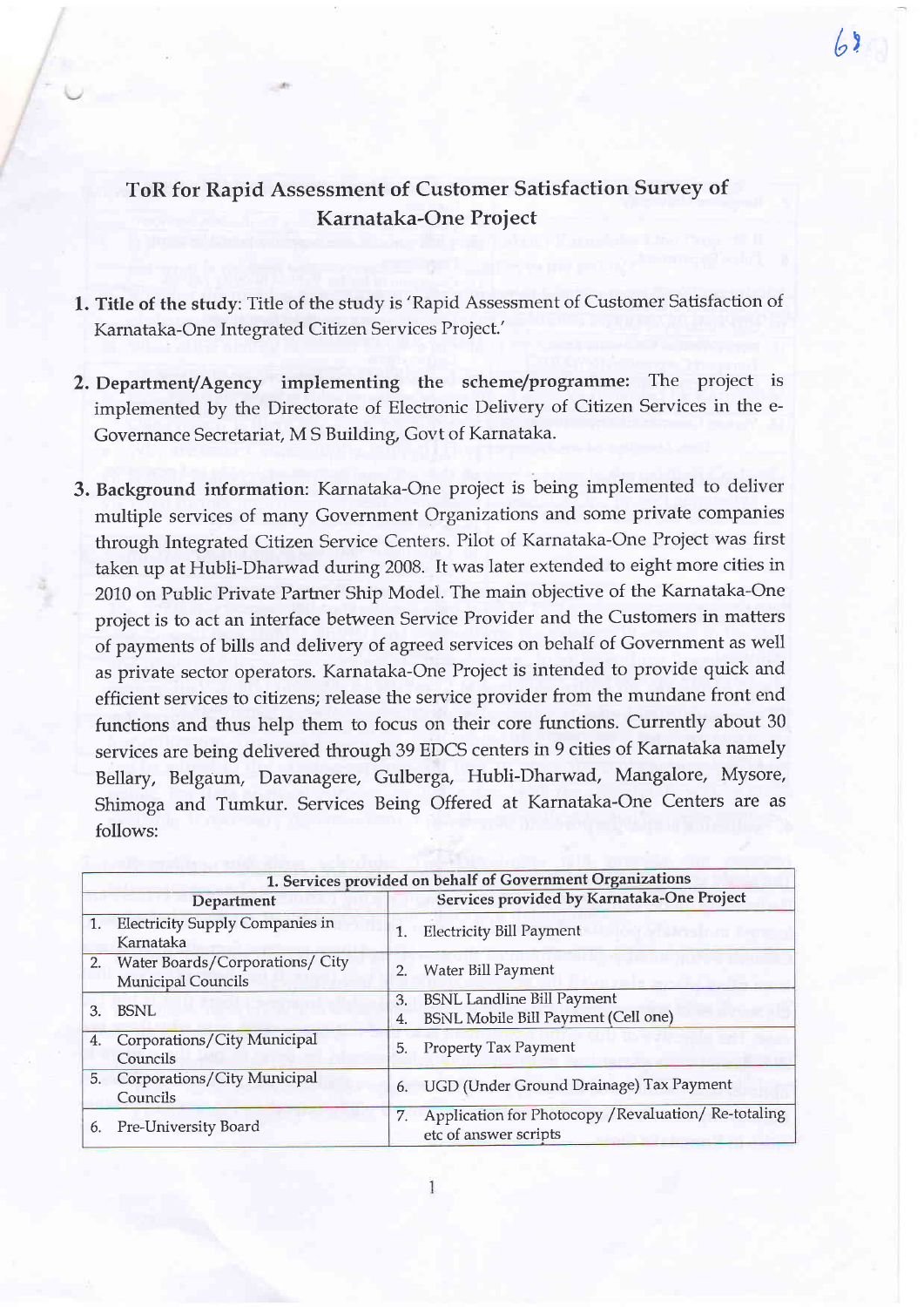## ToR for Rapid Assessment of Customer Satisfaction Survey of Karnataka-One Proiect

 $\sqrt{ }$ 

- l. Title of the study: Title of the study is'Rapid Assessment of Customer Satisfaction of Karnataka-One Integrated Citizen Services Project.'
- 2. Department/Agency implementing the scheme/programme: The project is implemented by the Directorate of Electronic Delivery of Citizen Services in the e-Governance Secretariat, M S Building, Govt of Karnataka.
- 3. Background information: Karnataka-One project is being implemented to deliver multiple services of many Govemment Organizations and some private companies through Integrated Citizen Service Centers. Pilot of Karnataka-One Project was first taken up at Hubli-Dharwad during 2008. It was later extended to eight more cities in 2010 on Public Private Partrer Ship Model. The main objective of the Karnataka-One project is to act an interface between Service Provider and the Customers in matters of payments of bills and delivery of agreed services on behalf of Government as well as private sector operators. Karnataka-One Project is intended to provide quick and efficient services to citizens; release the service provider from the mundane front end functions and thus help them to focus on their core functions. Currently about <sup>30</sup> services are being delivered through 39 EDCS centers in 9 cities of Karnataka namely Bellary, Belgaum, Davanagere, Gulberga, Hubli-Dharwad, Mangalore, Mysore, Shimoga and Tumkur. Services Being Offered at Karnataka-One Centers are as follows:

|    | 1. Services provided on behalf of Government Organizations      |          |                                                                                 |  |  |
|----|-----------------------------------------------------------------|----------|---------------------------------------------------------------------------------|--|--|
|    | Department                                                      |          | Services provided by Karnataka-One Project                                      |  |  |
| 1. | <b>Electricity Supply Companies in</b><br>Karnataka             | 1.       | <b>Electricity Bill Payment</b>                                                 |  |  |
|    | 2. Water Boards/Corporations/ City<br><b>Municipal Councils</b> | 2.       | Water Bill Payment                                                              |  |  |
| 3. | <b>BSNL</b>                                                     | 3.<br>4. | <b>BSNL Landline Bill Payment</b><br><b>BSNL Mobile Bill Payment (Cell one)</b> |  |  |
| 4. | Corporations/City Municipal<br>Councils                         |          | 5. Property Tax Payment                                                         |  |  |
|    | 5. Corporations/City Municipal<br>Councils                      | 6.       | UGD (Under Ground Drainage) Tax Payment                                         |  |  |
|    | 6. Pre-University Board                                         | 7.       | Application for Photocopy / Revaluation/ Re-totaling<br>etc of answer scripts   |  |  |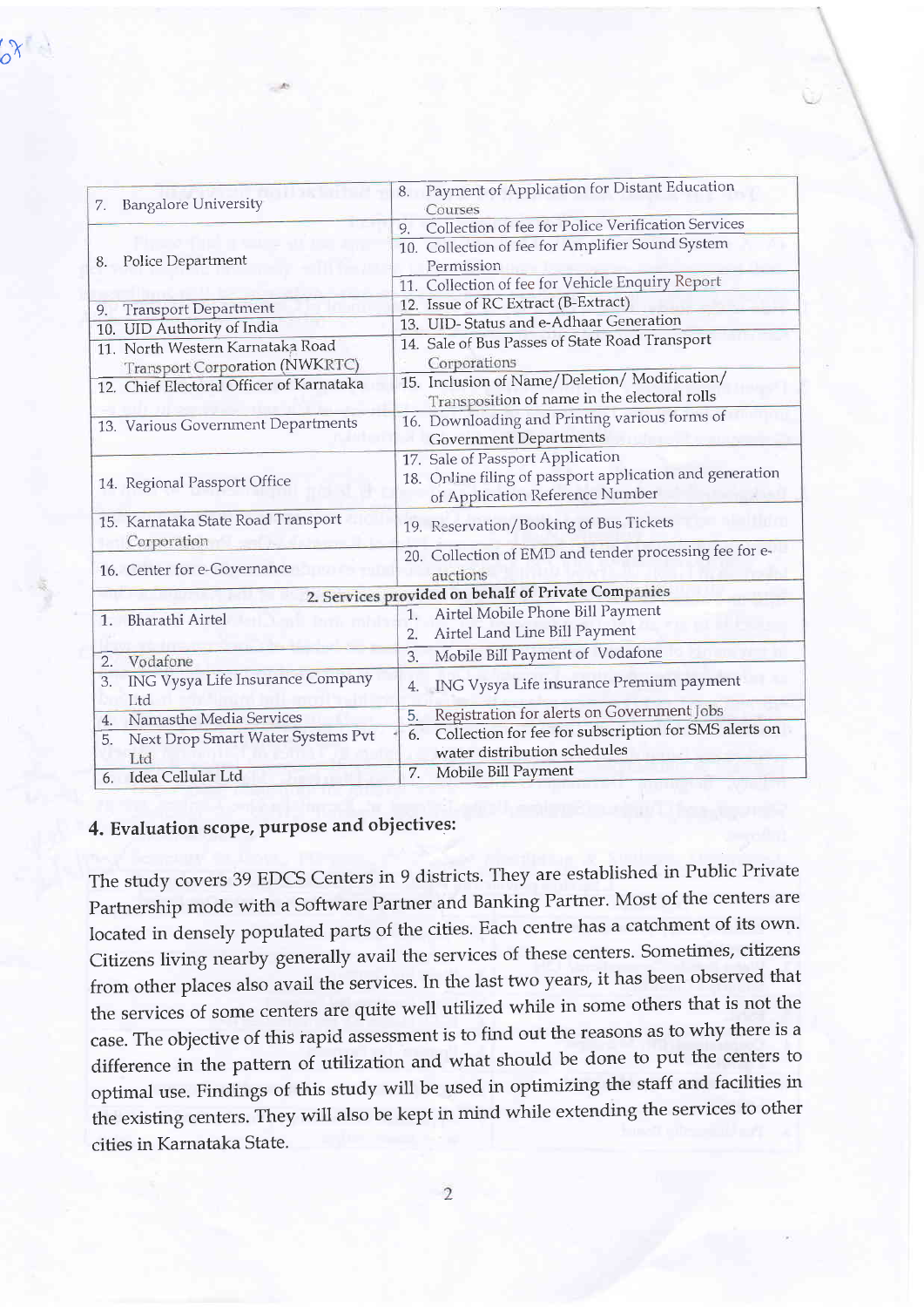|    | <b>Bangalore University</b>              | 8. Payment of Application for Distant Education             |
|----|------------------------------------------|-------------------------------------------------------------|
| 7. |                                          | Courses                                                     |
|    | 8. Police Department                     | Collection of fee for Police Verification Services<br>9.    |
|    |                                          | 10. Collection of fee for Amplifier Sound System            |
|    |                                          | Permission                                                  |
|    |                                          | 11. Collection of fee for Vehicle Enquiry Report            |
| 9. | <b>Transport Department</b>              | 12. Issue of RC Extract (B-Extract)                         |
|    | 10. UID Authority of India               | 13. UID-Status and e-Adhaar Generation                      |
|    | 11. North Western Karnataka Road         | 14. Sale of Bus Passes of State Road Transport              |
|    | Transport Corporation (NWKRTC)           | Corporations                                                |
|    | 12. Chief Electoral Officer of Karnataka | 15. Inclusion of Name/Deletion/Modification/                |
|    |                                          | Transposition of name in the electoral rolls                |
|    | 13. Various Government Departments       | 16. Downloading and Printing various forms of               |
|    |                                          | <b>Government Departments</b>                               |
|    | 14. Regional Passport Office             | 17. Sale of Passport Application                            |
|    |                                          | 18. Online filing of passport application and generation    |
|    |                                          | of Application Reference Number                             |
|    | 15. Karnataka State Road Transport       | 19. Reservation/Booking of Bus Tickets                      |
|    | Corporation                              |                                                             |
|    | 16. Center for e-Governance              | 20. Collection of EMD and tender processing fee for e-      |
|    |                                          | auctions                                                    |
|    |                                          | 2. Services provided on behalf of Private Companies         |
| 1. | <b>Bharathi Airtel</b>                   | Airtel Mobile Phone Bill Payment<br>1.                      |
|    |                                          | Airtel Land Line Bill Payment<br>2.                         |
| 2. | Vodafone                                 | Mobile Bill Payment of Vodafone<br>3.                       |
| 3. | ING Vysya Life Insurance Company         | ING Vysya Life insurance Premium payment<br>4.              |
|    | Ltd                                      |                                                             |
| 4. | Namasthe Media Services                  | Registration for alerts on Government Jobs<br>5.            |
| 5. | Next Drop Smart Water Systems Pvt        | Collection for fee for subscription for SMS alerts on<br>6. |
|    | Ltd                                      | water distribution schedules                                |
| 6. | Idea Cellular Ltd                        | Mobile Bill Payment<br>7.                                   |
|    |                                          |                                                             |

## 4. Evaluation scope, purpose and objectives:

The study covers 39 EDCS Centers in 9 districts. They are established in Public Private Partnership mode with a Software Partner and Banking Partner. Most of the centers are located in densely populated parts of the cities. Each centre has a catchment of its own. Citizens living nearby generally avail the services of these centers. Sometimes, citizens from other places also avail the services. In the last two years, it has been observed that the services of some centers are quite well utilized while in some others that is not the case. The objective of this rapid assessment is to find out the reasons as to why there is a difference in the pattern of utilization and what should be done to put the centers to optimal use. Findings of this study will be used in optimizing the staff and facilities in the existing centers. They will also be kept in mind while extending the services to other cities in Karnataka State.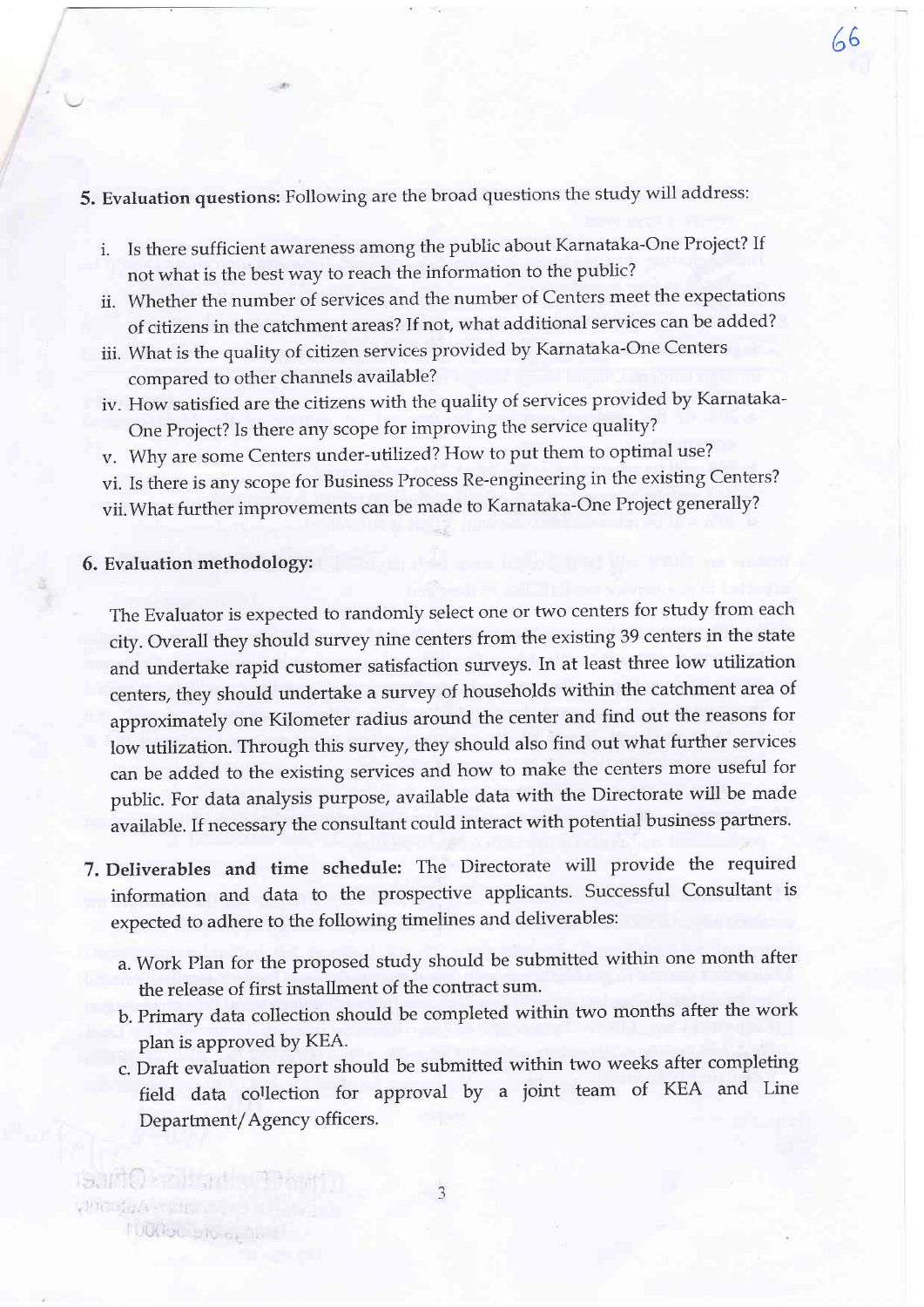- 5. Evaluation questions: Following are the broad questions the study will address:
	- i. Is there sufficient awareness among the public about Karnataka-One Project? If not what is the best way to reach the information to the pubiic?

66

- ii. Whether the number of services and the number of Centers meet the expectations of citizens in the catchment areas? If not, what additional services can be added?
- iii. What is the quality of citizen services provided by Karnataka-One Centers compared to other channels available?
- iv. How satisfied are the citizens with the quality of services provided by Karnataka-One Project? Is there any scope for improving the service quality?
- v. Why are some Centers under-utilized? How to put them to optimal use?
- vi. Is there is any scope for Business Process Re-engineering in the existing Centers?
- vii.What further improvements can be made to Karnataka-One Project generally?

## 6. Evaluation methodologY:

is into the art

Nuclea, stora,

Ville signs of the

The Evaluator is expected to randomly select one or two centers for study from each city. Overall they should survey nine centers from the existing 39 centers in the state and undertake rapid customer satisfaction surveys. In at least three low utilization centers, they should undertake a survey of households within the catchment area of approximately one Kilometer radius around the center and find out the reasons for low utilization. Through this survey, they should also find out what further services can be added to the existing services and how to make the centers more useful for public. For data analysis purpose, available data with the Directorate will be made available. If necessary the consultant could interact with potential business partners.

- 7. Deliverables and time schedule: The Directorate will provide the required information and data to the prospective applicants. Successful Consultant is expected to adhere to the following timelines and deliverables:
	- a. Work Plan for the proposed study should be submitted within one month after the release of first installment of the contract sum.
	- b. Primary data collection should be completed within two months after the work plan is approved bY KEA.
	- c. Draft evaluation report should be submitted within two weeks after completing field data collection for approval by a joint team of KEA and Line Department/Agency officers.